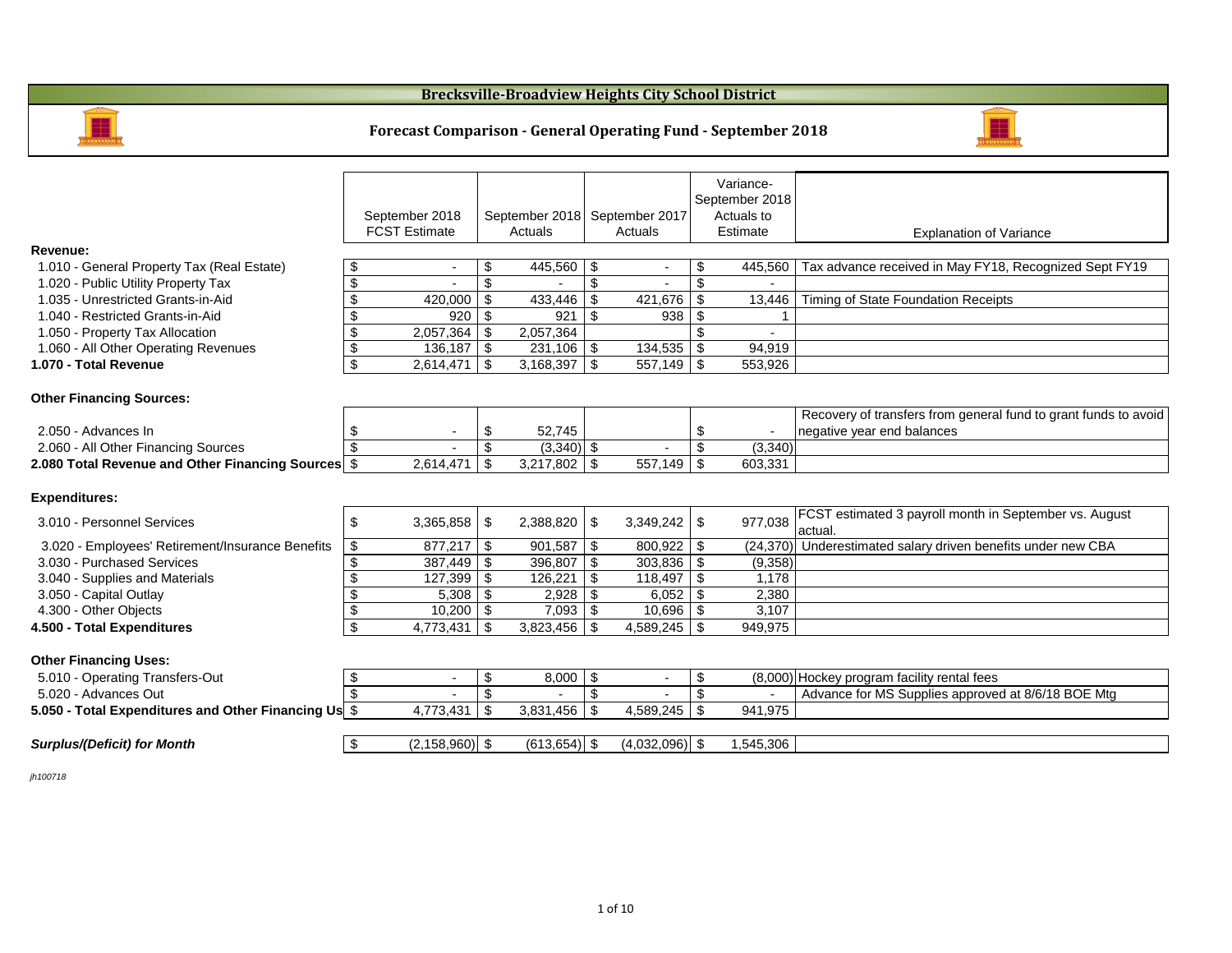|                                                      |                            |                      |                            |                 |                            |                  |                | Variance-         |                                                               |
|------------------------------------------------------|----------------------------|----------------------|----------------------------|-----------------|----------------------------|------------------|----------------|-------------------|---------------------------------------------------------------|
|                                                      |                            |                      |                            |                 |                            |                  |                | September 2018    |                                                               |
|                                                      |                            | September 2018       |                            | September 2018  |                            | September 2017   |                | <b>Actuals to</b> |                                                               |
|                                                      |                            | <b>FCST Estimate</b> |                            | Actuals         |                            | Actuals          |                | Estimate          | <b>Explanation of Variance</b>                                |
| <b>Revenue:</b>                                      |                            |                      |                            |                 |                            |                  |                |                   |                                                               |
| 1.010 - General Property Tax (Real Estate)           | \$                         |                      | \$                         | $445,560$ \ \$  |                            |                  | \$             | 445,560           | Tax advance received in May FY18, Recognized Sept FY          |
| 1.020 - Public Utility Property Tax                  | $\boldsymbol{\mathsf{S}}$  |                      | $\mathcal{S}$              |                 | $\mathfrak{F}$             |                  | $\mathfrak{L}$ | $\overline{a}$    |                                                               |
| 1.035 - Unrestricted Grants-in-Aid                   | $\boldsymbol{\mathsf{\$}}$ | 420,000              | $\sqrt[6]{3}$              | 433,446         | $\boldsymbol{\mathcal{F}}$ | 421,676          | $\mathcal{S}$  | 13,446            | Timing of State Foundation Receipts                           |
| 1.040 - Restricted Grants-in-Aid                     | $\boldsymbol{\mathsf{\$}}$ | 920                  | \$                         | 921             | \$                         | 938              | \$             |                   |                                                               |
| 1.050 - Property Tax Allocation                      | $\boldsymbol{\mathsf{S}}$  | 2,057,364            | \$                         | 2,057,364       |                            |                  | \$             |                   |                                                               |
| 1.060 - All Other Operating Revenues                 | $\boldsymbol{\theta}$      | 136,187              | \$                         | $231,106$   \$  |                            | $134,535$   \$   |                | 94,919            |                                                               |
| 1.070 - Total Revenue                                | $\boldsymbol{\mathcal{L}}$ | 2,614,471            | \$                         |                 |                            | $557,149$ \\$    |                | 553,926           |                                                               |
|                                                      |                            |                      |                            |                 |                            |                  |                |                   |                                                               |
| <b>Other Financing Sources:</b>                      |                            |                      |                            |                 |                            |                  |                |                   |                                                               |
|                                                      |                            |                      |                            |                 |                            |                  |                |                   | Recovery of transfers from general fund to grant funds to     |
| 2.050 - Advances In                                  | \$                         |                      | \$                         | 52,745          |                            |                  | \$             |                   | negative year end balances                                    |
| 2.060 - All Other Financing Sources                  | $\mathfrak{S}$             |                      | $\boldsymbol{\mathsf{S}}$  | $(3,340)$ \$    |                            |                  | $\mathfrak{S}$ | (3,340)           |                                                               |
| 2.080 Total Revenue and Other Financing Sources \$   |                            | 2,614,471            | $\mathfrak{F}$             |                 |                            | $557,149$   \$   |                | 603,331           |                                                               |
|                                                      |                            |                      |                            |                 |                            |                  |                |                   |                                                               |
| <b>Expenditures:</b>                                 |                            |                      |                            |                 |                            |                  |                |                   |                                                               |
| 3.010 - Personnel Services                           | \$                         | 3,365,858            | \$                         | 2,388,820       | \$                         | $3,349,242$   \$ |                | 977,038           | <b>FCST estimated 3 payroll month in September vs. August</b> |
|                                                      |                            |                      |                            |                 |                            |                  |                |                   | actual.                                                       |
| 3.020 - Employees' Retirement/Insurance Benefits     | \$                         | 877,217              | $\mathfrak{F}$             | 901,587         | $\mathfrak{F}$             | $800,922$   \$   |                |                   | (24,370) Underestimated salary driven benefits under new CBA  |
| 3.030 - Purchased Services                           | $\boldsymbol{\mathsf{\$}}$ | 387,449              | \$                         | 396,807         | \$                         | $303,836$   \$   |                | (9,358)           |                                                               |
| 3.040 - Supplies and Materials                       | $\boldsymbol{\mathsf{\$}}$ | 127,399              | \$                         | 126,221         | $\mathfrak{F}$             |                  |                | 1,178             |                                                               |
| 3.050 - Capital Outlay                               | $\boldsymbol{\mathsf{S}}$  | 5,308                | -\$                        | 2,928           | \$                         | $6,052$   \$     |                | 2,380             |                                                               |
| 4.300 - Other Objects                                | $\overline{\mathbf{3}}$    | 10,200               | \$                         | 7,093           | \$                         | $10,696$   \$    |                | 3,107             |                                                               |
| 4.500 - Total Expenditures                           | $\boldsymbol{\mathcal{L}}$ | 4,773,431            | \$                         | 3,823,456       | \$                         |                  |                | 949,975           |                                                               |
|                                                      |                            |                      |                            |                 |                            |                  |                |                   |                                                               |
| <b>Other Financing Uses:</b>                         |                            |                      |                            |                 |                            |                  |                |                   |                                                               |
| 5.010 - Operating Transfers-Out                      | \$                         |                      | $\boldsymbol{\mathsf{\$}}$ | 8,000           | $\boldsymbol{\mathcal{F}}$ |                  | \$             |                   | (8,000) Hockey program facility rental fees                   |
| 5.020 - Advances Out                                 | $\overline{\mathbf{S}}$    |                      | $\boldsymbol{\mathsf{S}}$  |                 | $\mathfrak{F}$             |                  |                |                   | Advance for MS Supplies approved at 8/6/18 BOE Mtg            |
| 5.050 - Total Expenditures and Other Financing Us \$ |                            | 4,773,431            | \$                         | $3,831,456$ \$  |                            | $4,589,245$ \\$  |                | 941,975           |                                                               |
|                                                      |                            |                      |                            |                 |                            |                  |                |                   |                                                               |
| <b>Surplus/(Deficit) for Month</b>                   | $\sqrt{2}$                 | $(2, 158, 960)$ \$   |                            | $(613, 654)$ \$ |                            | $(4,032,096)$ \$ |                | 1,545,306         |                                                               |
|                                                      |                            |                      |                            |                 |                            |                  |                |                   |                                                               |

*jh100718*

## **Forecast Comparison - General Operating Fund - September 2018**

## **Brecksville-Broadview Heights City School District**





## n of Variance

# FY18, Recognized Sept FY19

neral fund to grant funds to avoid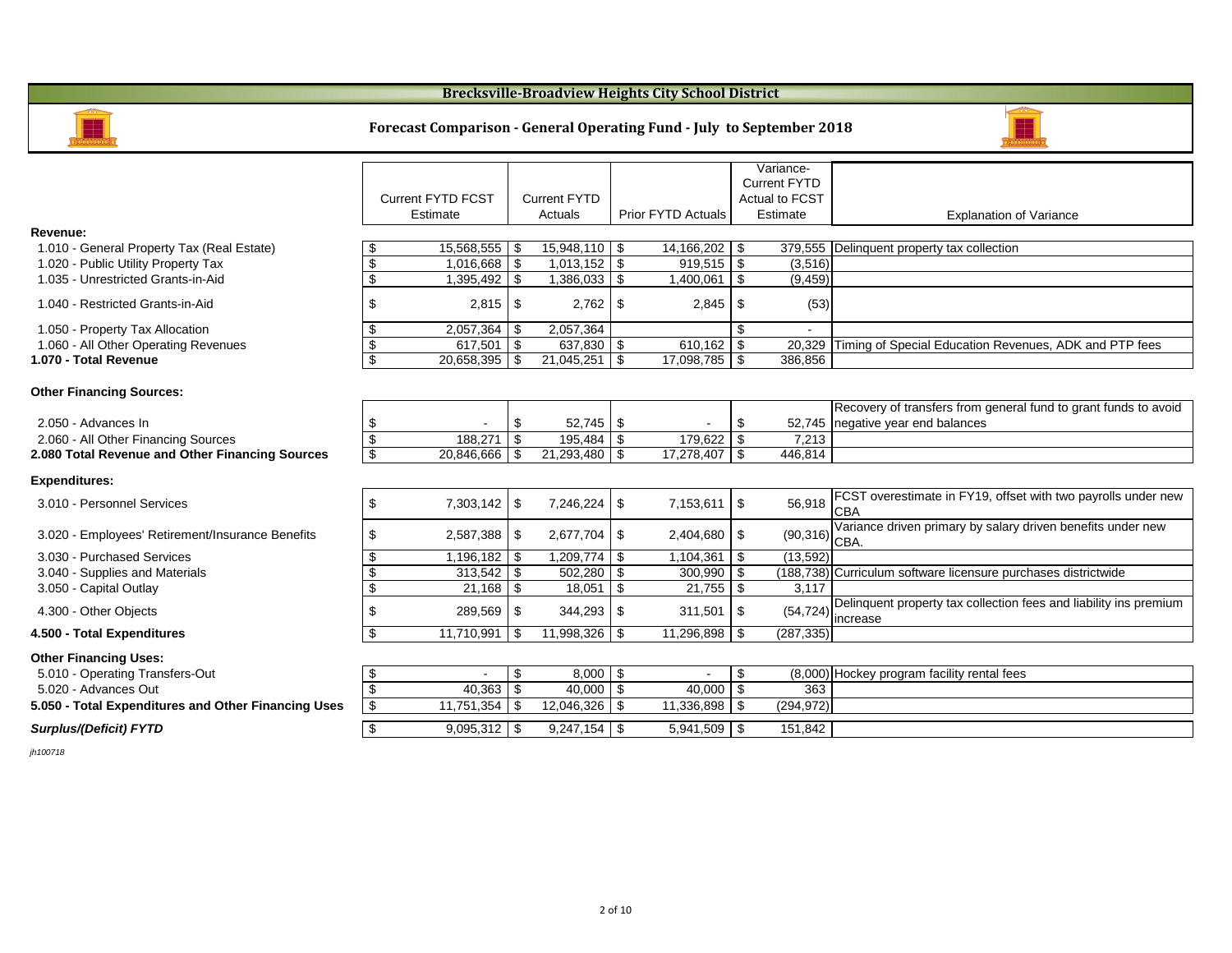|                                                     |                                          |                                          |                                         | Variance-                              |                                                |
|-----------------------------------------------------|------------------------------------------|------------------------------------------|-----------------------------------------|----------------------------------------|------------------------------------------------|
|                                                     |                                          |                                          |                                         | <b>Current FYTD</b>                    |                                                |
|                                                     | <b>Current FYTD FCST</b>                 | <b>Current FYTD</b>                      |                                         | <b>Actual to FCST</b>                  |                                                |
|                                                     | Estimate                                 | Actuals                                  | <b>Prior FYTD Actuals</b>               | Estimate                               | <b>Explanation</b>                             |
| <b>Revenue:</b>                                     |                                          |                                          |                                         |                                        |                                                |
| 1.010 - General Property Tax (Real Estate)          | 15,568,555<br>\$                         | 15,948,110<br>\$                         | $\boldsymbol{\mathsf{S}}$<br>14,166,202 | \$                                     | 379,555   Delinquent property tax collection   |
| 1.020 - Public Utility Property Tax                 | $\boldsymbol{\mathsf{S}}$<br>1,016,668   | $\boldsymbol{\mathsf{\$}}$<br>1,013,152  | $\sqrt{3}$<br>$919,515$ \$              | (3,516)                                |                                                |
| 1.035 - Unrestricted Grants-in-Aid                  | \$<br>1,395,492                          | \$<br>1,386,033                          | $\mathfrak{F}$<br>1,400,061             | \$<br>(9, 459)                         |                                                |
| 1.040 - Restricted Grants-in-Aid                    | \$<br>2,815                              | \$<br>2,762                              | \$<br>2,845                             | (53)<br>\$                             |                                                |
| 1.050 - Property Tax Allocation                     | \$<br>2,057,364                          | 2,057,364<br>\$                          |                                         | \$                                     |                                                |
| 1.060 - All Other Operating Revenues                | $\boldsymbol{\theta}$<br>617,501         | $\boldsymbol{\mathsf{\$}}$<br>637,830    | 610,162<br>  \$                         | \$<br>20,329                           | Timing of Special Education Reve               |
| 1.070 - Total Revenue                               | $\boldsymbol{\mathsf{S}}$<br>20,658,395  | 21,045,251<br>\$                         | $\mathfrak{S}$<br>$17,098,785$   \$     | 386,856                                |                                                |
| <b>Other Financing Sources:</b>                     |                                          |                                          |                                         |                                        |                                                |
|                                                     |                                          |                                          |                                         |                                        | Recovery of transfers from gener               |
| 2.050 - Advances In                                 | \$                                       | 52,745<br>\$                             | \$                                      | \$                                     | 52,745   negative year end balances            |
| 2.060 - All Other Financing Sources                 | $\boldsymbol{\mathsf{S}}$<br>188,271     | \$<br>195,484                            | $\boldsymbol{\mathsf{S}}$<br>179,622    | $\mathfrak{F}$<br>7,213                |                                                |
| 2.080 Total Revenue and Other Financing Sources     | $\boldsymbol{\mathcal{L}}$<br>20,846,666 | $\boldsymbol{\mathcal{S}}$<br>21,293,480 | \$<br>17,278,407                        | l \$<br>446,814                        |                                                |
| <b>Expenditures:</b>                                |                                          |                                          |                                         |                                        |                                                |
| 3.010 - Personnel Services                          | \$<br>7,303,142                          | \$<br>7,246,224                          | $\mathfrak{F}$<br>7,153,611             | $\boldsymbol{\mathsf{S}}$<br>56,918    | FCST overestimate in FY19, offs<br><b>CBA</b>  |
| 3.020 - Employees' Retirement/Insurance Benefits    | \$<br>2,587,388                          | 2,677,704<br>\$                          | 2,404,680<br>\$                         | $\boldsymbol{\mathsf{\$}}$<br>(90,316) | Variance driven primary by salary<br>CBA.      |
| 3.030 - Purchased Services                          | \$<br>1,196,182                          | \$<br>1,209,774                          | $\boldsymbol{\mathsf{S}}$<br>1,104,361  | $\boldsymbol{\mathcal{F}}$<br>(13,592) |                                                |
| 3.040 - Supplies and Materials                      | $\boldsymbol{\theta}$<br>313,542         | $\$\$<br>502,280                         | $\boldsymbol{\mathsf{\$}}$<br>300,990   | $\boldsymbol{\mathcal{L}}$             | (188,738) Curriculum software licensure pu     |
| 3.050 - Capital Outlay                              | $\boldsymbol{\mathsf{S}}$<br>21,168      | \$<br>18,051                             | $\$\$<br>21,755                         | $\boldsymbol{\mathsf{\$}}$<br>3,117    |                                                |
| 4.300 - Other Objects                               | \$<br>289,569                            | 344,293<br>\$                            | $\boldsymbol{\mathcal{S}}$<br>311,501   | \$<br>(54, 724)                        | Delinquent property tax collection<br>increase |
| 4.500 - Total Expenditures                          | \$<br>$11,710,991$ \$                    |                                          | $11,296,898$ \$                         | (287, 335)                             |                                                |
| <b>Other Financing Uses:</b>                        |                                          |                                          |                                         |                                        |                                                |
| 5.010 - Operating Transfers-Out                     | \$                                       | $\$\$<br>8,000                           | \$                                      | $\frac{1}{2}$                          | (8,000) Hockey program facility rental fee     |
| 5.020 - Advances Out                                | 40,363<br>\$                             | 40,000<br>$\boldsymbol{\mathsf{\$}}$     | 40,000<br>$\sqrt{3}$                    | $\boldsymbol{\mathsf{\$}}$<br>363      |                                                |
| 5.050 - Total Expenditures and Other Financing Uses | $\boldsymbol{\$}$<br>11,751,354          | 12,046,326<br>\$                         | \$<br>11,336,898                        | (294, 972)<br>\$                       |                                                |
|                                                     |                                          |                                          |                                         |                                        |                                                |
| <b>Surplus/(Deficit) FYTD</b>                       | $\boldsymbol{\mathsf{\$}}$<br>9,095,312  | 9,247,154<br>\$                          | $5,941,509$ \$<br>  \$                  | 151,842                                |                                                |
|                                                     |                                          |                                          |                                         |                                        |                                                |

*jh100718*

#### **Brecksville-Broadview Heights City School District**



#### **Forecast Comparison - General Operating Fund - July to September 2018**



#### Explanation of Variance

cial Education Revenues, ADK and PTP fees

ansfers from general fund to grant funds to avoid end balances

imate in FY19, offset with two payrolls under new

In primary by salary driven benefits under new

tware licensure purchases districtwide

perty tax collection fees and liability ins premium

m facility rental fees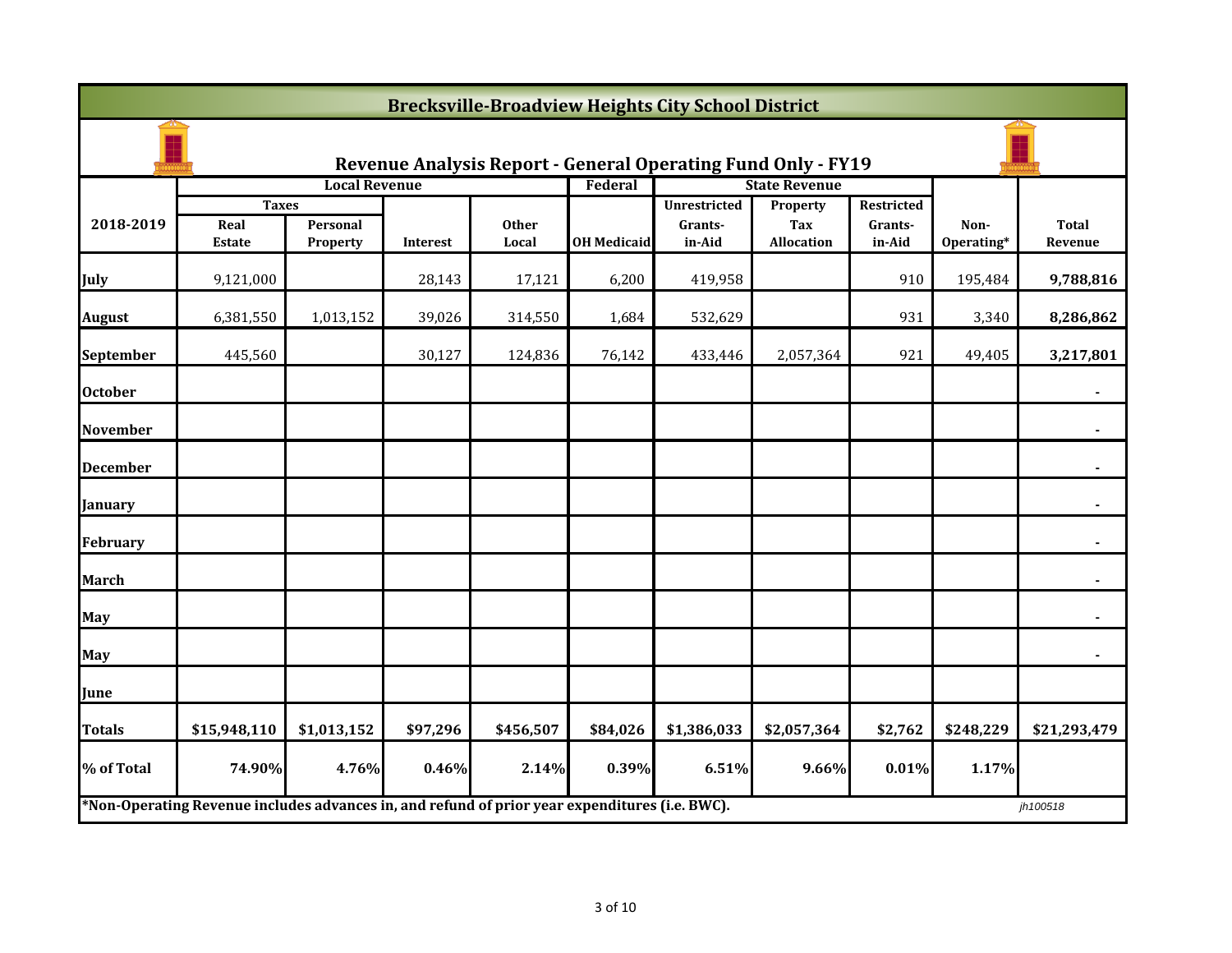|                                                                     | <b>Brecksville-Broadview Heights City School District</b>                                      |                      |                 |                       |                    |                     |                      |                   |                    |                         |
|---------------------------------------------------------------------|------------------------------------------------------------------------------------------------|----------------------|-----------------|-----------------------|--------------------|---------------------|----------------------|-------------------|--------------------|-------------------------|
| <b>Revenue Analysis Report - General Operating Fund Only - FY19</b> |                                                                                                |                      |                 |                       |                    |                     |                      |                   |                    |                         |
|                                                                     |                                                                                                | <b>Local Revenue</b> |                 |                       | Federal            |                     | <b>State Revenue</b> |                   |                    |                         |
|                                                                     | <b>Taxes</b>                                                                                   |                      |                 |                       |                    | <b>Unrestricted</b> | Property             | <b>Restricted</b> |                    |                         |
| 2018-2019                                                           | Real<br><b>Estate</b>                                                                          | Personal<br>Property | <b>Interest</b> | <b>Other</b><br>Local | <b>OH Medicaid</b> | Grants-<br>in-Aid   | Tax<br>Allocation    | Grants-<br>in-Aid | Non-<br>Operating* | <b>Total</b><br>Revenue |
| <b>July</b>                                                         | 9,121,000                                                                                      |                      | 28,143          | 17,121                | 6,200              | 419,958             |                      | 910               | 195,484            | 9,788,816               |
| <b>August</b>                                                       | 6,381,550                                                                                      | 1,013,152            | 39,026          | 314,550               | 1,684              | 532,629             |                      | 931               | 3,340              | 8,286,862               |
| <b>September</b>                                                    | 445,560                                                                                        |                      | 30,127          | 124,836               | 76,142             | 433,446             | 2,057,364            | 921               | 49,405             | 3,217,801               |
| <b>October</b>                                                      |                                                                                                |                      |                 |                       |                    |                     |                      |                   |                    |                         |
| <b>November</b>                                                     |                                                                                                |                      |                 |                       |                    |                     |                      |                   |                    |                         |
| <b>December</b>                                                     |                                                                                                |                      |                 |                       |                    |                     |                      |                   |                    |                         |
| <b>January</b>                                                      |                                                                                                |                      |                 |                       |                    |                     |                      |                   |                    |                         |
| February                                                            |                                                                                                |                      |                 |                       |                    |                     |                      |                   |                    |                         |
| <b>March</b>                                                        |                                                                                                |                      |                 |                       |                    |                     |                      |                   |                    |                         |
| <b>May</b>                                                          |                                                                                                |                      |                 |                       |                    |                     |                      |                   |                    |                         |
| <b>May</b>                                                          |                                                                                                |                      |                 |                       |                    |                     |                      |                   |                    |                         |
| June                                                                |                                                                                                |                      |                 |                       |                    |                     |                      |                   |                    |                         |
| <b>Totals</b>                                                       | \$15,948,110                                                                                   | \$1,013,152          | \$97,296        | \$456,507             | \$84,026           | \$1,386,033         | \$2,057,364          | \$2,762           | \$248,229          | \$21,293,479            |
| % of Total                                                          | 74.90%                                                                                         | 4.76%                | 0.46%           | 2.14%                 | 0.39%              | 6.51%               | 9.66%                | 0.01%             | 1.17%              |                         |
|                                                                     | *Non-Operating Revenue includes advances in, and refund of prior year expenditures (i.e. BWC). |                      |                 |                       |                    |                     |                      |                   |                    | jh100518                |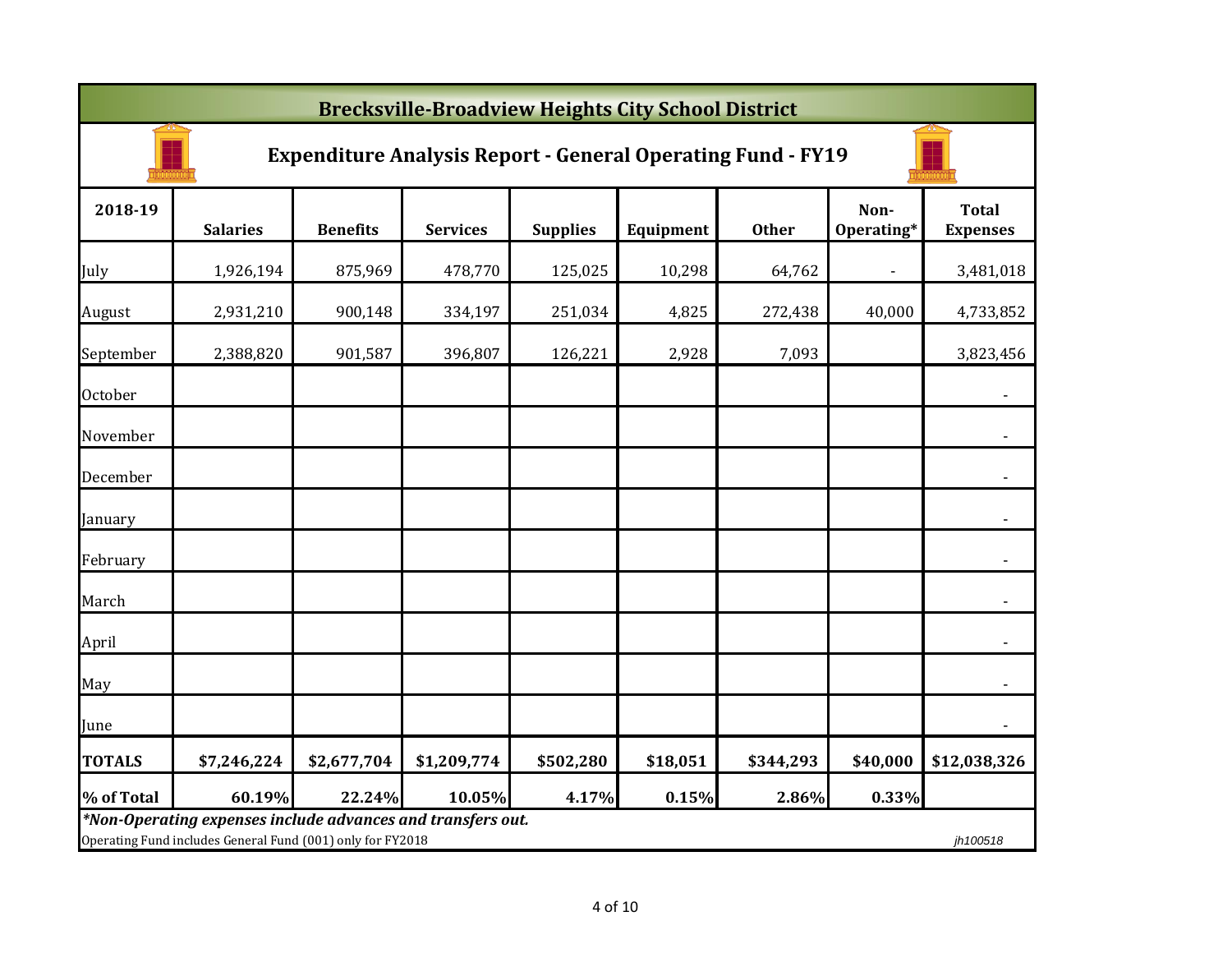|                | <b>Brecksville-Broadview Heights City School District</b>                                                                 |                 |                 |                 |           |              |                    |                                 |  |  |  |
|----------------|---------------------------------------------------------------------------------------------------------------------------|-----------------|-----------------|-----------------|-----------|--------------|--------------------|---------------------------------|--|--|--|
|                | <b>Expenditure Analysis Report - General Operating Fund - FY19</b>                                                        |                 |                 |                 |           |              |                    |                                 |  |  |  |
| 2018-19        | <b>Salaries</b>                                                                                                           | <b>Benefits</b> | <b>Services</b> | <b>Supplies</b> | Equipment | <b>Other</b> | Non-<br>Operating* | <b>Total</b><br><b>Expenses</b> |  |  |  |
| July           | 1,926,194                                                                                                                 | 875,969         | 478,770         | 125,025         | 10,298    | 64,762       |                    | 3,481,018                       |  |  |  |
| August         | 2,931,210                                                                                                                 | 900,148         | 334,197         | 251,034         | 4,825     | 272,438      | 40,000             | 4,733,852                       |  |  |  |
| September      | 2,388,820                                                                                                                 | 901,587         | 396,807         | 126,221         | 2,928     | 7,093        |                    | 3,823,456                       |  |  |  |
| <b>October</b> |                                                                                                                           |                 |                 |                 |           |              |                    | $\blacksquare$                  |  |  |  |
| November       |                                                                                                                           |                 |                 |                 |           |              |                    |                                 |  |  |  |
| December       |                                                                                                                           |                 |                 |                 |           |              |                    | $\blacksquare$                  |  |  |  |
| January        |                                                                                                                           |                 |                 |                 |           |              |                    | $\blacksquare$                  |  |  |  |
| February       |                                                                                                                           |                 |                 |                 |           |              |                    | $\overline{\phantom{a}}$        |  |  |  |
| March          |                                                                                                                           |                 |                 |                 |           |              |                    |                                 |  |  |  |
| April          |                                                                                                                           |                 |                 |                 |           |              |                    |                                 |  |  |  |
| May            |                                                                                                                           |                 |                 |                 |           |              |                    | $\blacksquare$                  |  |  |  |
| June           |                                                                                                                           |                 |                 |                 |           |              |                    |                                 |  |  |  |
| <b>TOTALS</b>  | \$7,246,224                                                                                                               | \$2,677,704     | \$1,209,774     | \$502,280       | \$18,051  | \$344,293    | \$40,000           | \$12,038,326                    |  |  |  |
| % of Total     | 60.19%                                                                                                                    | 22.24%          | 10.05%          | 4.17%           | 0.15%     | 2.86%        | 0.33%              |                                 |  |  |  |
|                | *Non-Operating expenses include advances and transfers out.<br>Operating Fund includes General Fund (001) only for FY2018 |                 |                 |                 |           |              |                    | jh100518                        |  |  |  |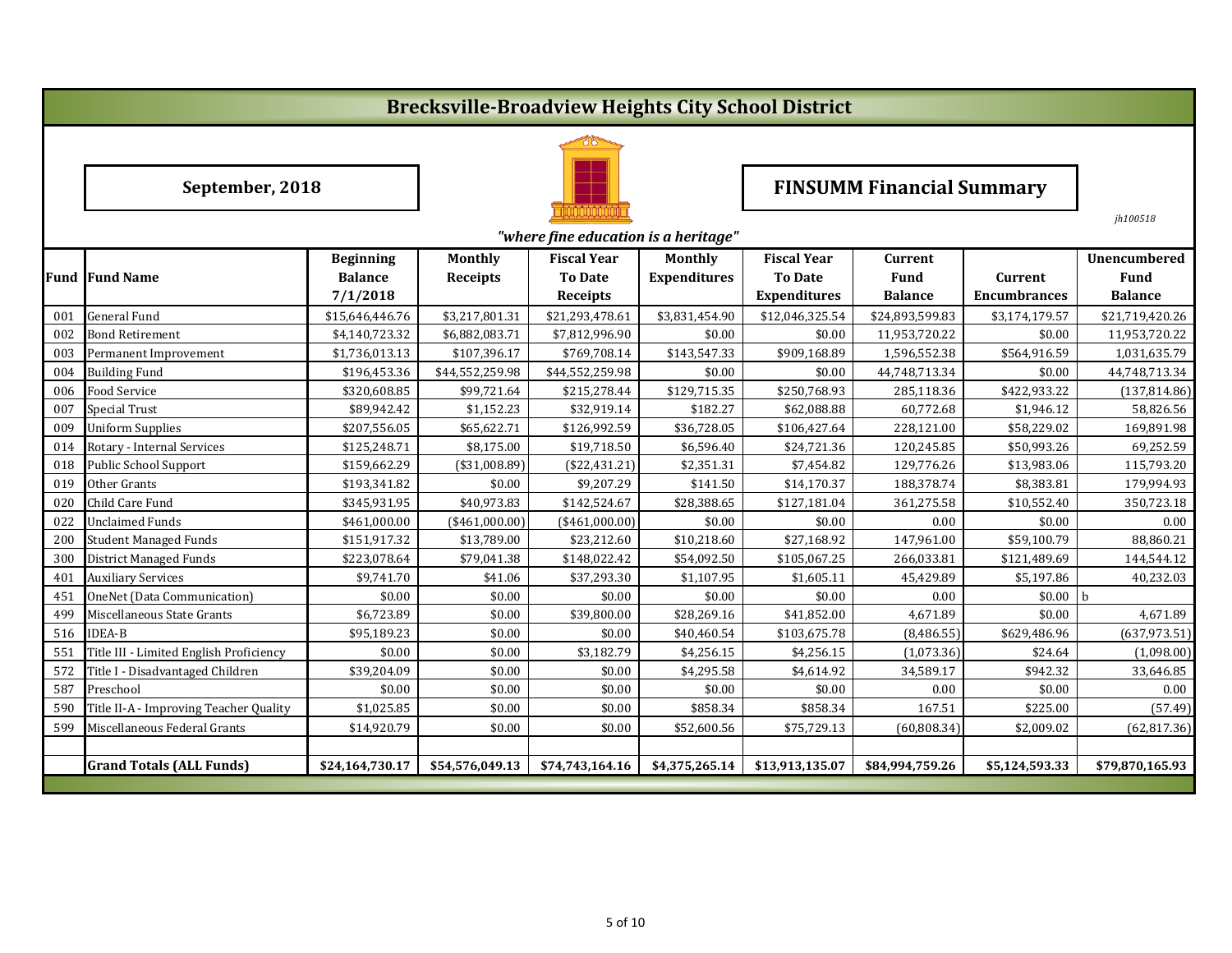## **Brecksville-Broadview Heights City School District**



## **September, 2018 FINSUMM Financial Summary**

|     |                                         |                                                |                                   |                                                         |                                       |                                                             |                                                 |                                       | jh100518                                             |
|-----|-----------------------------------------|------------------------------------------------|-----------------------------------|---------------------------------------------------------|---------------------------------------|-------------------------------------------------------------|-------------------------------------------------|---------------------------------------|------------------------------------------------------|
|     |                                         |                                                |                                   | "where fine education is a heritage"                    |                                       |                                                             |                                                 |                                       |                                                      |
|     | <b>Fund Fund Name</b>                   | <b>Beginning</b><br><b>Balance</b><br>7/1/2018 | <b>Monthly</b><br><b>Receipts</b> | <b>Fiscal Year</b><br><b>To Date</b><br><b>Receipts</b> | <b>Monthly</b><br><b>Expenditures</b> | <b>Fiscal Year</b><br><b>To Date</b><br><b>Expenditures</b> | <b>Current</b><br><b>Fund</b><br><b>Balance</b> | <b>Current</b><br><b>Encumbrances</b> | <b>Unencumbered</b><br><b>Fund</b><br><b>Balance</b> |
| 001 | <b>General Fund</b>                     | \$15,646,446.76                                | \$3,217,801.31                    | \$21,293,478.61                                         | \$3,831,454.90                        | \$12,046,325.54                                             | \$24,893,599.83                                 | \$3,174,179.57                        | \$21,719,420.26                                      |
| 002 | <b>Bond Retirement</b>                  | \$4,140,723.32                                 | \$6,882,083.71                    | \$7,812,996.90                                          | \$0.00                                | \$0.00                                                      | 11,953,720.22                                   | \$0.00                                | 11,953,720.22                                        |
| 003 | Permanent Improvement                   | \$1,736,013.13                                 | \$107,396.17                      | \$769,708.14                                            | \$143,547.33                          | \$909,168.89                                                | 1,596,552.38                                    | \$564,916.59                          | 1,031,635.79                                         |
| 004 | <b>Building Fund</b>                    | \$196,453.36                                   | \$44,552,259.98                   | \$44,552,259.98                                         | \$0.00                                | \$0.00                                                      | 44,748,713.34                                   | \$0.00                                | 44,748,713.34                                        |
| 006 | <b>Food Service</b>                     | \$320,608.85                                   | \$99,721.64                       | \$215,278.44                                            | \$129,715.35                          | \$250,768.93                                                | 285,118.36                                      | \$422,933.22                          | (137, 814.86)                                        |
| 007 | <b>Special Trust</b>                    | \$89,942.42                                    | \$1,152.23                        | \$32,919.14                                             | \$182.27                              | \$62,088.88                                                 | 60,772.68                                       | \$1,946.12                            | 58,826.56                                            |
| 009 | <b>Uniform Supplies</b>                 | \$207,556.05                                   | \$65,622.71                       | \$126,992.59                                            | \$36,728.05                           | \$106,427.64                                                | 228,121.00                                      | \$58,229.02                           | 169,891.98                                           |
| 014 | Rotary - Internal Services              | \$125,248.71                                   | \$8,175.00                        | \$19,718.50                                             | \$6,596.40                            | \$24,721.36                                                 | 120,245.85                                      | \$50,993.26                           | 69,252.59                                            |
| 018 | <b>Public School Support</b>            | \$159,662.29                                   | (\$31,008.89)                     | (\$22,431.21)                                           | \$2,351.31                            | \$7,454.82                                                  | 129,776.26                                      | \$13,983.06                           | 115,793.20                                           |
| 019 | Other Grants                            | \$193,341.82                                   | \$0.00                            | \$9,207.29                                              | \$141.50                              | \$14,170.37                                                 | 188,378.74                                      | \$8,383.81                            | 179,994.93                                           |
| 020 | Child Care Fund                         | \$345,931.95                                   | \$40,973.83                       | \$142,524.67                                            | \$28,388.65                           | \$127,181.04                                                | 361,275.58                                      | \$10,552.40                           | 350,723.18                                           |
| 022 | <b>Unclaimed Funds</b>                  | \$461,000.00                                   | $(*461,000.00)$                   | $(*461,000.00)$                                         | \$0.00                                | \$0.00                                                      | 0.00                                            | \$0.00                                | 0.00                                                 |
| 200 | <b>Student Managed Funds</b>            | \$151,917.32                                   | \$13,789.00                       | \$23,212.60                                             | \$10,218.60                           | \$27,168.92                                                 | 147,961.00                                      | \$59,100.79                           | 88,860.21                                            |
| 300 | <b>District Managed Funds</b>           | \$223,078.64                                   | \$79,041.38                       | \$148,022.42                                            | \$54,092.50                           | \$105,067.25                                                | 266,033.81                                      | \$121,489.69                          | 144,544.12                                           |
| 401 | <b>Auxiliary Services</b>               | \$9,741.70                                     | \$41.06                           | \$37,293.30                                             | \$1,107.95                            | \$1,605.11                                                  | 45,429.89                                       | \$5,197.86                            | 40,232.03                                            |
| 451 | <b>OneNet (Data Communication)</b>      | \$0.00                                         | \$0.00                            | \$0.00                                                  | \$0.00                                | \$0.00                                                      | 0.00                                            | \$0.00                                | b                                                    |
| 499 | Miscellaneous State Grants              | \$6,723.89                                     | \$0.00                            | \$39,800.00                                             | \$28,269.16                           | \$41,852.00                                                 | 4,671.89                                        | \$0.00                                | 4,671.89                                             |
| 516 | <b>IDEA-B</b>                           | \$95,189.23                                    | \$0.00                            | \$0.00                                                  | \$40,460.54                           | \$103,675.78                                                | (8,486.55)                                      | \$629,486.96                          | (637, 973.51)                                        |
| 551 | Title III - Limited English Proficiency | \$0.00                                         | \$0.00                            | \$3,182.79                                              | \$4,256.15                            | \$4,256.15                                                  | (1,073.36)                                      | \$24.64                               | (1,098.00)                                           |
| 572 | Title I - Disadvantaged Children        | \$39,204.09                                    | \$0.00                            | \$0.00                                                  | \$4,295.58                            | \$4,614.92                                                  | 34,589.17                                       | \$942.32                              | 33,646.85                                            |
| 587 | Preschool                               | \$0.00                                         | \$0.00                            | \$0.00                                                  | \$0.00                                | \$0.00                                                      | 0.00                                            | \$0.00                                | 0.00                                                 |
| 590 | Title II-A - Improving Teacher Quality  | \$1,025.85                                     | \$0.00                            | \$0.00                                                  | \$858.34                              | \$858.34                                                    | 167.51                                          | \$225.00                              | (57.49)                                              |
| 599 | Miscellaneous Federal Grants            | \$14,920.79                                    | \$0.00                            | \$0.00                                                  | \$52,600.56                           | \$75,729.13                                                 | (60, 808.34)                                    | \$2,009.02                            | (62, 817.36)                                         |
|     |                                         |                                                |                                   |                                                         |                                       |                                                             |                                                 |                                       |                                                      |
|     | <b>Grand Totals (ALL Funds)</b>         | \$24,164,730.17                                | \$54,576,049.13                   | \$74,743,164.16                                         | \$4,375,265.14                        | \$13,913,135.07                                             | \$84,994,759.26                                 | \$5,124,593.33                        | \$79,870,165.93                                      |
|     |                                         |                                                |                                   |                                                         |                                       |                                                             |                                                 |                                       |                                                      |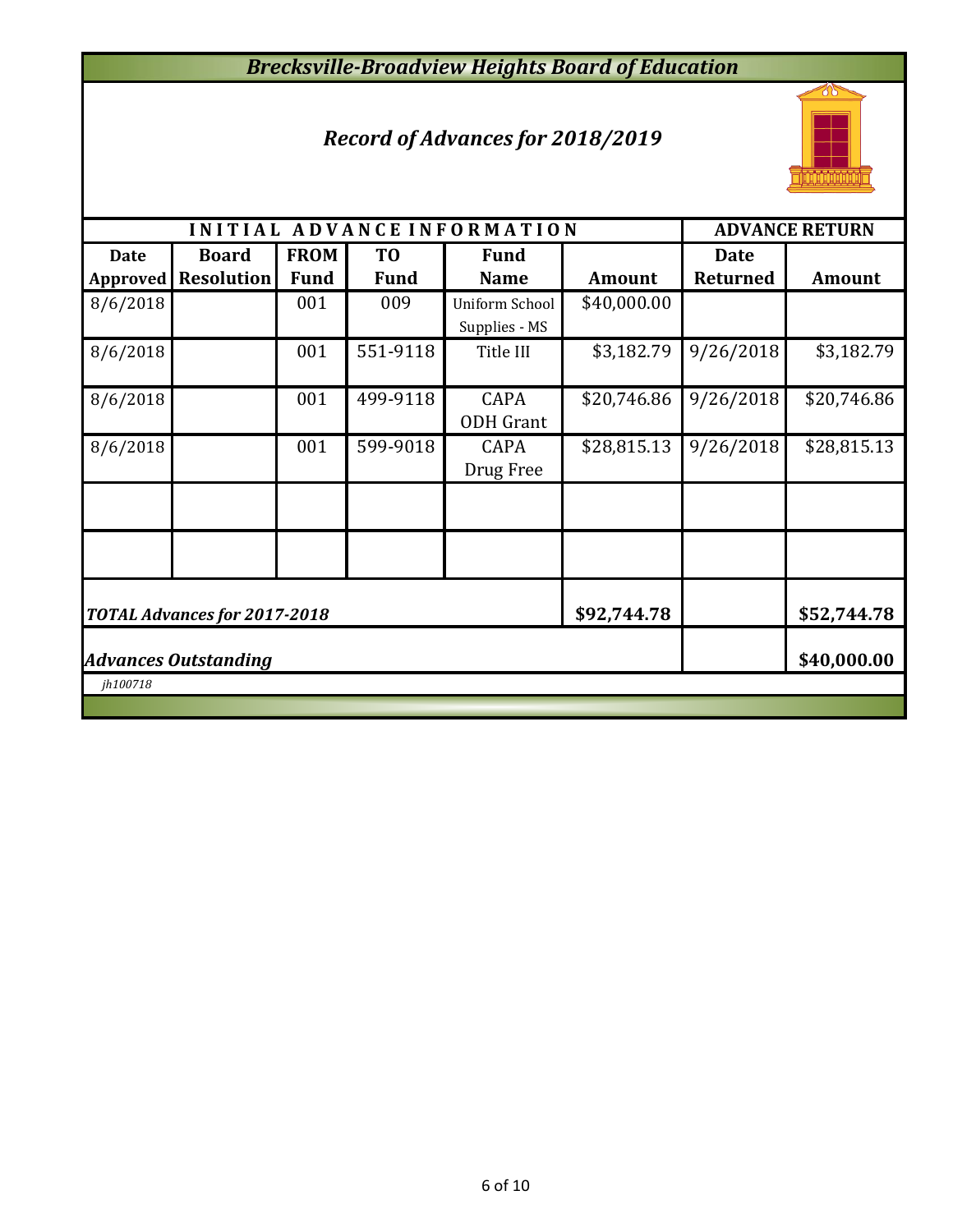## *Brecksville-Broadview Heights Board of Education*

## *Record of Advances for 2018/2019*



|                                            |                                                                   |             |                | INITIAL ADVANCE INFORMATION     |               |                 | <b>ADVANCE RETURN</b> |  |  |  |
|--------------------------------------------|-------------------------------------------------------------------|-------------|----------------|---------------------------------|---------------|-----------------|-----------------------|--|--|--|
| <b>Date</b>                                | <b>Board</b>                                                      | <b>FROM</b> | T <sub>0</sub> | <b>Fund</b>                     |               | <b>Date</b>     |                       |  |  |  |
| Approved                                   | <b>Resolution</b>                                                 | <b>Fund</b> | <b>Fund</b>    | <b>Name</b>                     | <b>Amount</b> | <b>Returned</b> | <b>Amount</b>         |  |  |  |
| 8/6/2018                                   |                                                                   | 001         | 009            | <b>Uniform School</b>           | \$40,000.00   |                 |                       |  |  |  |
|                                            |                                                                   |             |                | Supplies - MS                   |               |                 |                       |  |  |  |
| 8/6/2018                                   |                                                                   | 001         | 551-9118       | Title III                       | \$3,182.79    | 9/26/2018       | \$3,182.79            |  |  |  |
| 8/6/2018                                   |                                                                   | 001         | 499-9118       | <b>CAPA</b><br><b>ODH</b> Grant | \$20,746.86   | 9/26/2018       | \$20,746.86           |  |  |  |
| 8/6/2018                                   |                                                                   | 001         | 599-9018       | <b>CAPA</b><br>Drug Free        | \$28,815.13   | 9/26/2018       | \$28,815.13           |  |  |  |
|                                            |                                                                   |             |                |                                 |               |                 |                       |  |  |  |
|                                            |                                                                   |             |                |                                 |               |                 |                       |  |  |  |
|                                            | \$92,744.78<br>\$52,744.78<br><b>TOTAL Advances for 2017-2018</b> |             |                |                                 |               |                 |                       |  |  |  |
| \$40,000.00<br><b>Advances Outstanding</b> |                                                                   |             |                |                                 |               |                 |                       |  |  |  |
| jh100718                                   |                                                                   |             |                |                                 |               |                 |                       |  |  |  |
|                                            |                                                                   |             |                |                                 |               |                 |                       |  |  |  |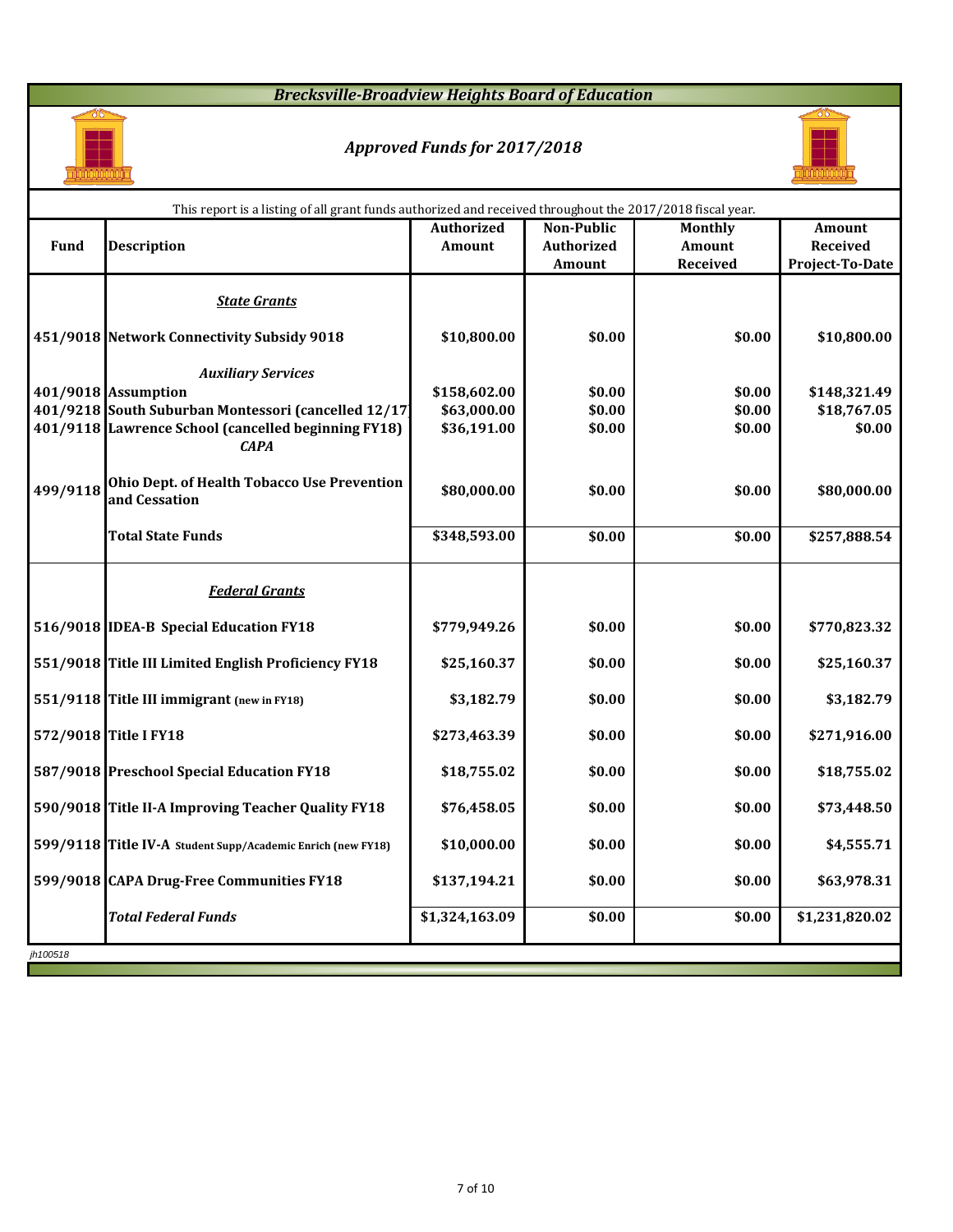## *Brecksville-Broadview Heights Board of Education*



## *Approved Funds for 2017/2018*



|             | This report is a listing of all grant funds authorized and received throughout the 2017/2018 fiscal year.   |                            |                   |                  |                        |
|-------------|-------------------------------------------------------------------------------------------------------------|----------------------------|-------------------|------------------|------------------------|
|             |                                                                                                             | <b>Authorized</b>          | <b>Non-Public</b> | <b>Monthly</b>   | <b>Amount</b>          |
| <b>Fund</b> | <b>Description</b>                                                                                          | <b>Amount</b>              | <b>Authorized</b> | Amount           | <b>Received</b>        |
|             |                                                                                                             |                            | Amount            | <b>Received</b>  | <b>Project-To-Date</b> |
|             | <b>State Grants</b>                                                                                         |                            |                   |                  |                        |
|             | 451/9018 Network Connectivity Subsidy 9018                                                                  | \$10,800.00                | \$0.00            | \$0.00           | \$10,800.00            |
|             | <b>Auxiliary Services</b>                                                                                   |                            |                   |                  |                        |
|             | 401/9018 Assumption                                                                                         | \$158,602.00               | \$0.00            | \$0.00           | \$148,321.49           |
|             | 401/9218 South Suburban Montessori (cancelled 12/17)<br>401/9118 Lawrence School (cancelled beginning FY18) | \$63,000.00<br>\$36,191.00 | \$0.00<br>\$0.00  | \$0.00<br>\$0.00 | \$18,767.05<br>\$0.00  |
|             | <b>CAPA</b>                                                                                                 |                            |                   |                  |                        |
| 499/9118    | <b>Ohio Dept. of Health Tobacco Use Prevention</b><br>and Cessation                                         | \$80,000.00                | \$0.00            | \$0.00           | \$80,000.00            |
|             | <b>Total State Funds</b>                                                                                    | \$348,593.00               | \$0.00            | \$0.00           | \$257,888.54           |
|             | <b>Federal Grants</b>                                                                                       |                            |                   |                  |                        |
|             | 516/9018 IDEA-B Special Education FY18                                                                      | \$779,949.26               | \$0.00            | \$0.00           | \$770,823.32           |
|             | 551/9018 Title III Limited English Proficiency FY18                                                         | \$25,160.37                | \$0.00            | \$0.00           | \$25,160.37            |
|             | 551/9118 Title III immigrant (new in FY18)                                                                  | \$3,182.79                 | \$0.00            | \$0.00           | \$3,182.79             |
|             | 572/9018 Title I FY18                                                                                       | \$273,463.39               | \$0.00            | \$0.00           | \$271,916.00           |
|             | 587/9018 Preschool Special Education FY18                                                                   | \$18,755.02                | \$0.00            | \$0.00           | \$18,755.02            |
|             | 590/9018 Title II-A Improving Teacher Quality FY18                                                          | \$76,458.05                | \$0.00            | \$0.00           | \$73,448.50            |
|             | 599/9118 Title IV-A Student Supp/Academic Enrich (new FY18)                                                 | \$10,000.00                | \$0.00            | \$0.00           | \$4,555.71             |
|             | 599/9018 CAPA Drug-Free Communities FY18                                                                    | \$137,194.21               | \$0.00            | \$0.00           | \$63,978.31            |
|             | <b>Total Federal Funds</b>                                                                                  | \$1,324,163.09             | \$0.00            | \$0.00           | \$1,231,820.02         |
| jh100518    |                                                                                                             |                            |                   |                  |                        |
|             |                                                                                                             |                            |                   |                  |                        |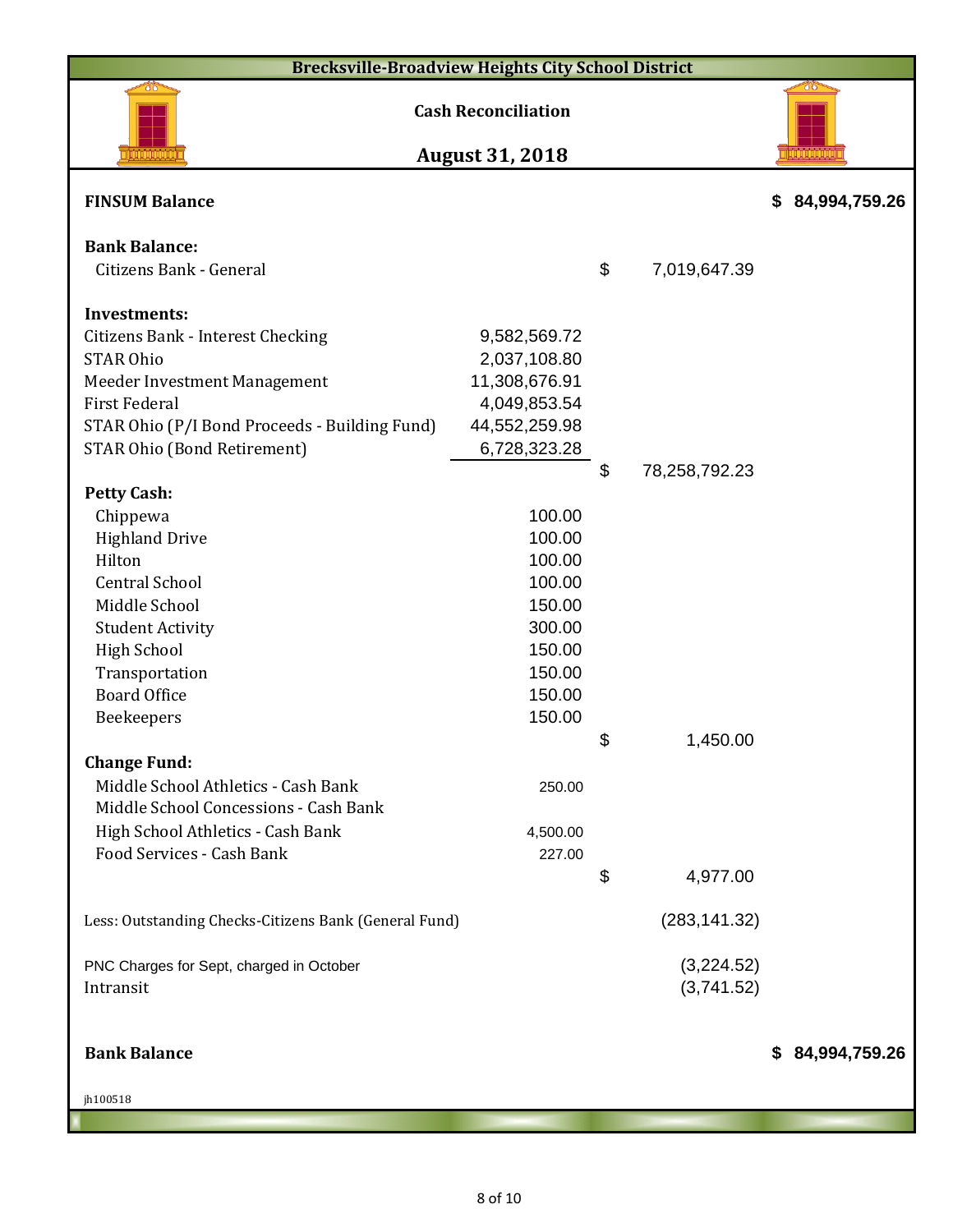| <b>Brecksville-Broadview Heights City School District</b> |                                                      |                     |                     |
|-----------------------------------------------------------|------------------------------------------------------|---------------------|---------------------|
|                                                           | <b>Cash Reconciliation</b><br><b>August 31, 2018</b> |                     |                     |
| <b>FINSUM Balance</b>                                     |                                                      |                     | 84,994,759.26<br>\$ |
| <b>Bank Balance:</b>                                      |                                                      |                     |                     |
| Citizens Bank - General                                   |                                                      | \$<br>7,019,647.39  |                     |
| <b>Investments:</b>                                       |                                                      |                     |                     |
| <b>Citizens Bank - Interest Checking</b>                  | 9,582,569.72                                         |                     |                     |
| <b>STAR Ohio</b>                                          | 2,037,108.80                                         |                     |                     |
| Meeder Investment Management                              | 11,308,676.91                                        |                     |                     |
| <b>First Federal</b>                                      | 4,049,853.54                                         |                     |                     |
| STAR Ohio (P/I Bond Proceeds - Building Fund)             | 44,552,259.98                                        |                     |                     |
| <b>STAR Ohio (Bond Retirement)</b>                        | 6,728,323.28                                         |                     |                     |
|                                                           |                                                      | \$<br>78,258,792.23 |                     |
| <b>Petty Cash:</b>                                        |                                                      |                     |                     |
| Chippewa                                                  | 100.00                                               |                     |                     |
| <b>Highland Drive</b>                                     | 100.00                                               |                     |                     |
| Hilton                                                    | 100.00                                               |                     |                     |
| <b>Central School</b>                                     | 100.00                                               |                     |                     |
| Middle School                                             | 150.00                                               |                     |                     |
| <b>Student Activity</b>                                   | 300.00                                               |                     |                     |
| <b>High School</b>                                        | 150.00                                               |                     |                     |
| Transportation                                            | 150.00                                               |                     |                     |
| <b>Board Office</b>                                       | 150.00                                               |                     |                     |
| Beekeepers                                                | 150.00                                               |                     |                     |
|                                                           |                                                      | \$<br>1,450.00      |                     |
| <b>Change Fund:</b>                                       |                                                      |                     |                     |
| Middle School Athletics - Cash Bank                       | 250.00                                               |                     |                     |
| Middle School Concessions - Cash Bank                     |                                                      |                     |                     |
| High School Athletics - Cash Bank                         | 4,500.00                                             |                     |                     |
| Food Services - Cash Bank                                 | 227.00                                               |                     |                     |
|                                                           |                                                      | \$<br>4,977.00      |                     |
| Less: Outstanding Checks-Citizens Bank (General Fund)     |                                                      | (283, 141.32)       |                     |
| PNC Charges for Sept, charged in October                  |                                                      | (3,224.52)          |                     |
| Intransit                                                 |                                                      | (3,741.52)          |                     |

**Bank Balance \$ 84,994,759.26**

jh100518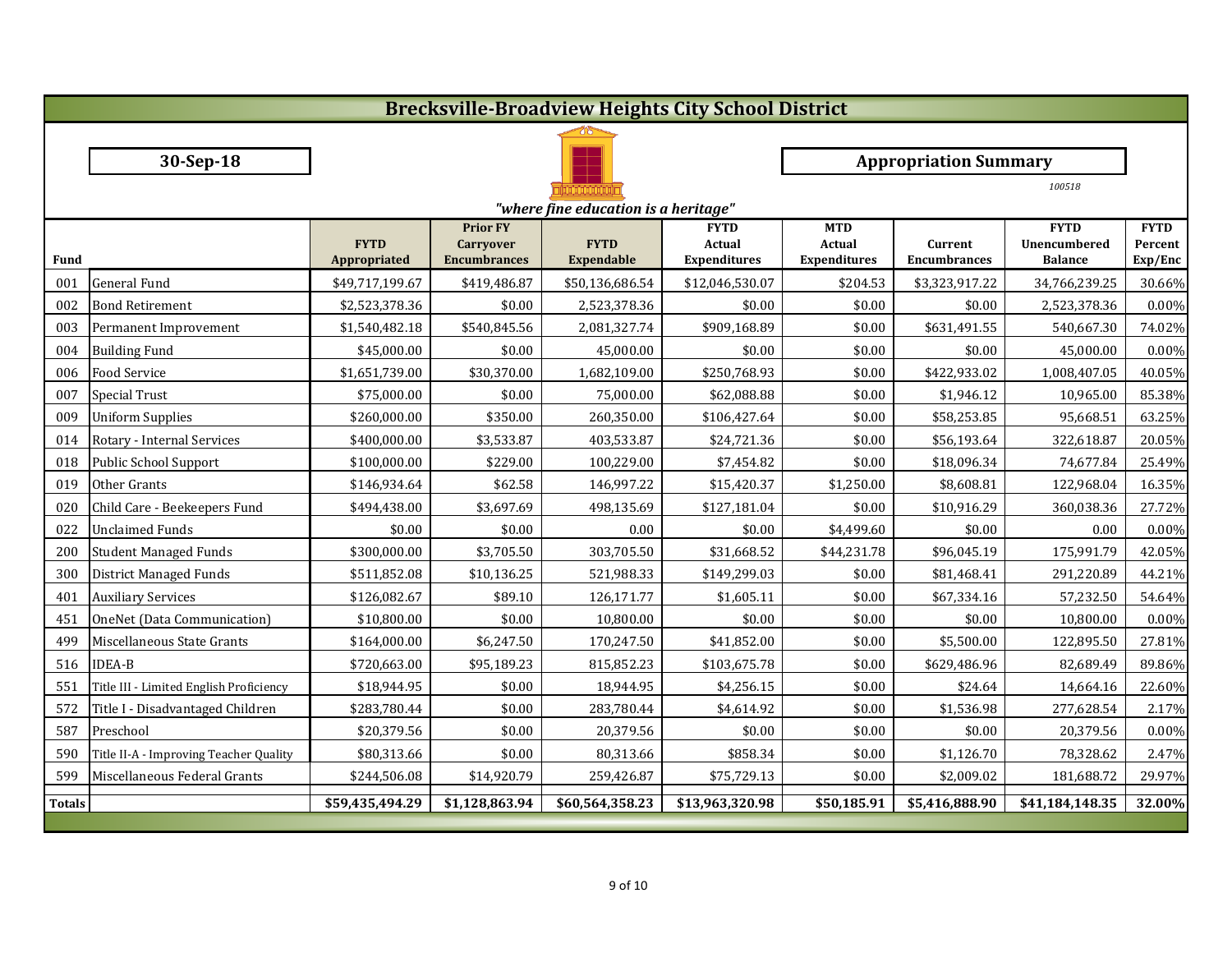|               | <b>Brecksville-Broadview Heights City School District</b> |                             |                                                            |                                  |                                                     |                                                    |                                |                                               |                                   |  |
|---------------|-----------------------------------------------------------|-----------------------------|------------------------------------------------------------|----------------------------------|-----------------------------------------------------|----------------------------------------------------|--------------------------------|-----------------------------------------------|-----------------------------------|--|
|               |                                                           |                             |                                                            |                                  |                                                     |                                                    |                                |                                               |                                   |  |
|               | 30-Sep-18                                                 |                             |                                                            |                                  |                                                     |                                                    | <b>Appropriation Summary</b>   |                                               |                                   |  |
|               |                                                           |                             |                                                            |                                  |                                                     |                                                    |                                | 100518                                        |                                   |  |
|               | "where fine education is a heritage"                      |                             |                                                            |                                  |                                                     |                                                    |                                |                                               |                                   |  |
| <b>Fund</b>   |                                                           | <b>FYTD</b><br>Appropriated | <b>Prior FY</b><br><b>Carryover</b><br><b>Encumbrances</b> | <b>FYTD</b><br><b>Expendable</b> | <b>FYTD</b><br><b>Actual</b><br><b>Expenditures</b> | <b>MTD</b><br><b>Actual</b><br><b>Expenditures</b> | Current<br><b>Encumbrances</b> | <b>FYTD</b><br>Unencumbered<br><b>Balance</b> | <b>FYTD</b><br>Percent<br>Exp/Enc |  |
| 001           | General Fund                                              | \$49,717,199.67             | \$419,486.87                                               | \$50,136,686.54                  | \$12,046,530.07                                     | \$204.53                                           | \$3,323,917.22                 | 34,766,239.25                                 | 30.66%                            |  |
| 002           | <b>Bond Retirement</b>                                    | \$2,523,378.36              | \$0.00                                                     | 2,523,378.36                     | \$0.00                                              | \$0.00                                             | \$0.00                         | 2,523,378.36                                  | 0.00%                             |  |
| 003           | Permanent Improvement                                     | \$1,540,482.18              | \$540,845.56                                               | 2,081,327.74                     | \$909,168.89                                        | \$0.00                                             | \$631,491.55                   | 540,667.30                                    | 74.02%                            |  |
| 004           | <b>Building Fund</b>                                      | \$45,000.00                 | \$0.00                                                     | 45,000.00                        | \$0.00                                              | \$0.00                                             | \$0.00                         | 45,000.00                                     | 0.00%                             |  |
| 006           | <b>Food Service</b>                                       | \$1,651,739.00              | \$30,370.00                                                | 1,682,109.00                     | \$250,768.93                                        | \$0.00                                             | \$422,933.02                   | 1,008,407.05                                  | 40.05%                            |  |
| 007           | Special Trust                                             | \$75,000.00                 | \$0.00                                                     | 75,000.00                        | \$62,088.88                                         | \$0.00                                             | \$1,946.12                     | 10,965.00                                     | 85.38%                            |  |
| 009           | <b>Uniform Supplies</b>                                   | \$260,000.00                | \$350.00                                                   | 260,350.00                       | \$106,427.64                                        | \$0.00                                             | \$58,253.85                    | 95,668.51                                     | 63.25%                            |  |
| 014           | Rotary - Internal Services                                | \$400,000.00                | \$3,533.87                                                 | 403,533.87                       | \$24,721.36                                         | \$0.00                                             | \$56,193.64                    | 322,618.87                                    | 20.05%                            |  |
| 018           | Public School Support                                     | \$100,000.00                | \$229.00                                                   | 100,229.00                       | \$7,454.82                                          | \$0.00                                             | \$18,096.34                    | 74,677.84                                     | 25.49%                            |  |
| 019           | Other Grants                                              | \$146,934.64                | \$62.58                                                    | 146,997.22                       | \$15,420.37                                         | \$1,250.00                                         | \$8,608.81                     | 122,968.04                                    | 16.35%                            |  |
| 020           | Child Care - Beekeepers Fund                              | \$494,438.00                | \$3,697.69                                                 | 498,135.69                       | \$127,181.04                                        | \$0.00                                             | \$10,916.29                    | 360,038.36                                    | 27.72%                            |  |
| 022           | <b>Unclaimed Funds</b>                                    | \$0.00                      | \$0.00                                                     | 0.00                             | \$0.00                                              | \$4,499.60                                         | \$0.00                         | 0.00                                          | $0.00\%$                          |  |
| 200           | <b>Student Managed Funds</b>                              | \$300,000.00                | \$3,705.50                                                 | 303,705.50                       | \$31,668.52                                         | \$44,231.78                                        | \$96,045.19                    | 175,991.79                                    | 42.05%                            |  |
| 300           | District Managed Funds                                    | \$511,852.08                | \$10,136.25                                                | 521,988.33                       | \$149,299.03                                        | \$0.00                                             | \$81,468.41                    | 291,220.89                                    | 44.21%                            |  |
| 401           | <b>Auxiliary Services</b>                                 | \$126,082.67                | \$89.10                                                    | 126,171.77                       | \$1,605.11                                          | \$0.00                                             | \$67,334.16                    | 57,232.50                                     | 54.64%                            |  |
| 451           | OneNet (Data Communication)                               | \$10,800.00                 | \$0.00                                                     | 10,800.00                        | \$0.00                                              | \$0.00                                             | \$0.00                         | 10,800.00                                     | 0.00%                             |  |
|               | 499 Miscellaneous State Grants                            | \$164,000.00                | \$6,247.50                                                 | 170,247.50                       | \$41,852.00                                         | \$0.00                                             | \$5,500.00                     | 122,895.50                                    | 27.81%                            |  |
|               | 516 IDEA-B                                                | \$720,663.00                | \$95,189.23                                                | 815,852.23                       | \$103,675.78                                        | \$0.00                                             | \$629,486.96                   | 82,689.49                                     | 89.86%                            |  |
| 551           | Title III - Limited English Proficiency                   | \$18,944.95                 | \$0.00                                                     | 18,944.95                        | \$4,256.15                                          | \$0.00                                             | \$24.64                        | 14,664.16                                     | 22.60%                            |  |
| 572           | Title I - Disadvantaged Children                          | \$283,780.44                | \$0.00                                                     | 283,780.44                       | \$4,614.92                                          | \$0.00                                             | \$1,536.98                     | 277,628.54                                    | 2.17%                             |  |
| 587           | Preschool                                                 | \$20,379.56                 | \$0.00                                                     | 20,379.56                        | \$0.00                                              | \$0.00                                             | \$0.00                         | 20,379.56                                     | $0.00\%$                          |  |
| 590           | Title II-A - Improving Teacher Quality                    | \$80,313.66                 | \$0.00                                                     | 80,313.66                        | \$858.34                                            | \$0.00                                             | \$1,126.70                     | 78,328.62                                     | 2.47%                             |  |
| 599           | Miscellaneous Federal Grants                              | \$244,506.08                | \$14,920.79                                                | 259,426.87                       | \$75,729.13                                         | \$0.00                                             | \$2,009.02                     | 181,688.72                                    | 29.97%                            |  |
| <b>Totals</b> |                                                           | \$59,435,494.29             | \$1,128,863.94                                             | \$60,564,358.23                  | \$13,963,320.98                                     | \$50,185.91                                        | \$5,416,888.90                 | \$41,184,148.35                               | 32.00%                            |  |
|               |                                                           |                             |                                                            |                                  |                                                     |                                                    |                                |                                               |                                   |  |